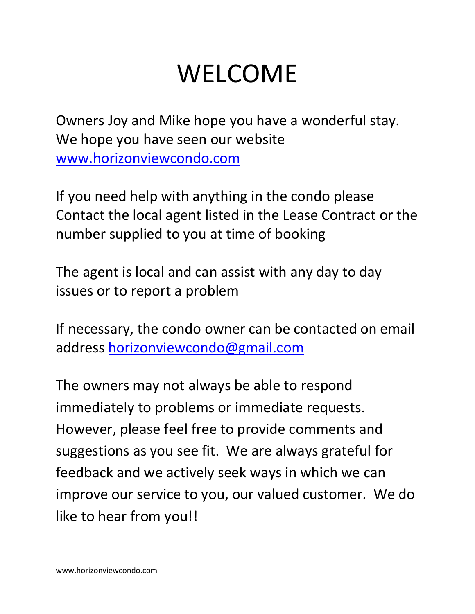# WELCOME

Owners Joy and Mike hope you have a wonderful stay. We hope you have seen our website [www.horizonviewcondo.com](http://www.horizonviewcondo.com/)

If you need help with anything in the condo please Contact the local agent listed in the Lease Contract or the number supplied to you at time of booking

The agent is local and can assist with any day to day issues or to report a problem

If necessary, the condo owner can be contacted on email address [horizonviewcondo@gmail.com](mailto:horizonviewcondo@gmail.com)

The owners may not always be able to respond immediately to problems or immediate requests. However, please feel free to provide comments and suggestions as you see fit. We are always grateful for feedback and we actively seek ways in which we can improve our service to you, our valued customer. We do like to hear from you!!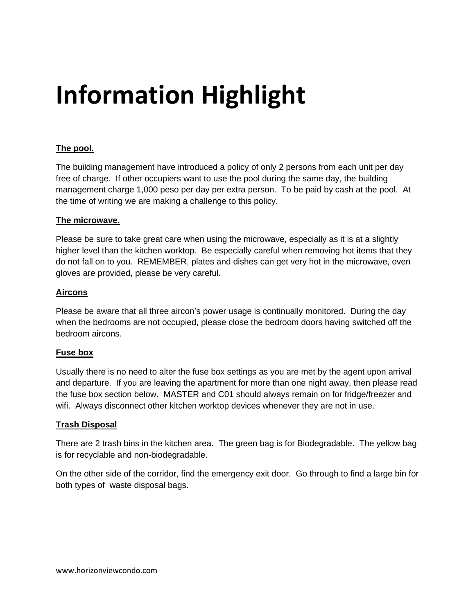# **Information Highlight**

### **The pool.**

The building management have introduced a policy of only 2 persons from each unit per day free of charge. If other occupiers want to use the pool during the same day, the building management charge 1,000 peso per day per extra person. To be paid by cash at the pool. At the time of writing we are making a challenge to this policy.

#### **The microwave.**

Please be sure to take great care when using the microwave, especially as it is at a slightly higher level than the kitchen worktop. Be especially careful when removing hot items that they do not fall on to you. REMEMBER, plates and dishes can get very hot in the microwave, oven gloves are provided, please be very careful.

### **Aircons**

Please be aware that all three aircon's power usage is continually monitored. During the day when the bedrooms are not occupied, please close the bedroom doors having switched off the bedroom aircons.

#### **Fuse box**

Usually there is no need to alter the fuse box settings as you are met by the agent upon arrival and departure. If you are leaving the apartment for more than one night away, then please read the fuse box section below. MASTER and C01 should always remain on for fridge/freezer and wifi. Always disconnect other kitchen worktop devices whenever they are not in use.

### **Trash Disposal**

There are 2 trash bins in the kitchen area. The green bag is for Biodegradable. The yellow bag is for recyclable and non-biodegradable.

On the other side of the corridor, find the emergency exit door. Go through to find a large bin for both types of waste disposal bags.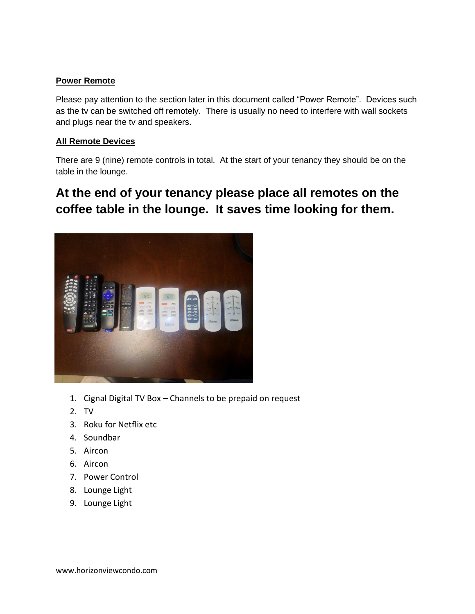### **Power Remote**

Please pay attention to the section later in this document called "Power Remote". Devices such as the tv can be switched off remotely. There is usually no need to interfere with wall sockets and plugs near the tv and speakers.

### **All Remote Devices**

There are 9 (nine) remote controls in total. At the start of your tenancy they should be on the table in the lounge.

## **At the end of your tenancy please place all remotes on the coffee table in the lounge. It saves time looking for them.**



- 1. Cignal Digital TV Box Channels to be prepaid on request
- 2. TV
- 3. Roku for Netflix etc
- 4. Soundbar
- 5. Aircon
- 6. Aircon
- 7. Power Control
- 8. Lounge Light
- 9. Lounge Light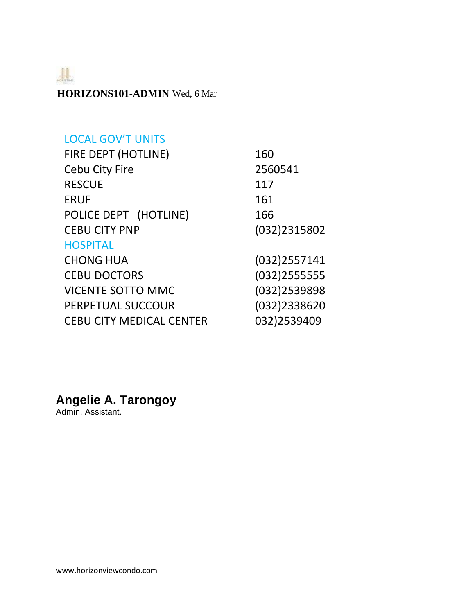$\begin{tabular}{c} \hline \quad \quad & \quad \quad \\ \quad \quad & \quad \quad \\ \quad \quad & \quad \quad \\ \quad \quad & \quad \quad \\ \quad \quad & \quad \quad \\ \quad \quad & \quad \quad \\ \quad \quad & \quad \quad \\ \quad \quad & \quad \quad \\ \quad \quad & \quad \quad \\ \quad \quad & \quad \quad \\ \quad \quad & \quad \quad \\ \quad \quad & \quad \quad \\ \quad \quad & \quad \quad \\ \quad \quad & \quad \quad \\ \quad \quad & \quad \quad \\ \quad \quad & \quad \quad \\ \quad \quad & \quad \quad \\ \quad \quad & \quad \quad \\ \quad \quad & \quad \quad \\ \quad \quad & \quad \quad \\ \quad \quad & \quad \quad$ 

**HORIZONS101-ADMIN** Wed, 6 Mar

## LOCAL GOV'T UNITS

| FIRE DEPT (HOTLINE)             | 160          |
|---------------------------------|--------------|
| <b>Cebu City Fire</b>           | 2560541      |
| <b>RESCUE</b>                   | 117          |
| <b>ERUF</b>                     | 161          |
| POLICE DEPT (HOTLINE)           | 166          |
| <b>CEBU CITY PNP</b>            | (032)2315802 |
| <b>HOSPITAL</b>                 |              |
| <b>CHONG HUA</b>                | (032)2557141 |
| <b>CEBU DOCTORS</b>             | (032)2555555 |
| <b>VICENTE SOTTO MMC</b>        | (032)2539898 |
| PERPETUAL SUCCOUR               | (032)2338620 |
| <b>CEBU CITY MEDICAL CENTER</b> | 032)2539409  |

## **Angelie A. Tarongoy**

Admin. Assistant.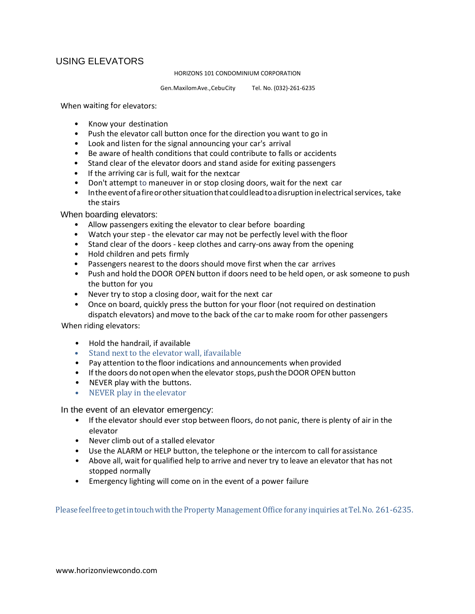### USING ELEVATORS

HORIZONS 101 CONDOMINIUM CORPORATION

Gen.MaxilomAve.,CebuCity Tel. No. (032)-261-6235

When waiting for elevators:

- Know your destination
- Push the elevator call button once for the direction you want to go in
- Look and listen for the signal announcing your car's arrival
- Be aware of health conditions that could contribute to falls or accidents
- Stand clear of the elevator doors and stand aside for exiting passengers
- If the arriving car is full, wait for the nextcar
- Don't attempt to maneuver in or stop closing doors, wait for the next car
- Intheeventofafireorothersituationthat couldleadtoadisruption inelectricalservices, take the stairs

When boarding elevators:

- Allow passengers exiting the elevator to clear before boarding
- Watch your step the elevator car may not be perfectly level with the floor
- Stand clear of the doors keep clothes and carry-ons away from the opening
- Hold children and pets firmly
- Passengers nearest to the doors should move first when the car arrives
- Push and hold the DOOR OPEN button if doors need to be held open, or ask someone to push the button for you
- Never try to stop a closing door, wait for the next car
- Once on board, quickly press the button for your floor (not required on destination dispatch elevators) andmove to the back ofthe carto make room for other passengers

When riding elevators:

- Hold the handrail, if available
- Stand next to the elevator wall, ifavailable
- Pay attention to the floor indications and announcements when provided
- If the doors do not open when the elevator stops, push the DOOR OPEN button
- NEVER play with the buttons.
- NEVER play in the elevator

In the event of an elevator emergency:

- If the elevator should ever stop between floors, do not panic, there is plenty of air in the elevator
- Never climb out of a stalled elevator
- Use the ALARM or HELP button, the telephone or the intercom to call forassistance
- Above all, wait for qualified help to arrive and never try to leave an elevator that has not stopped normally
- Emergency lighting will come on in the event of a power failure

Please feelfreetogetintouchwiththeProperty Management Office forany inquiries atTel.No. 261-6235.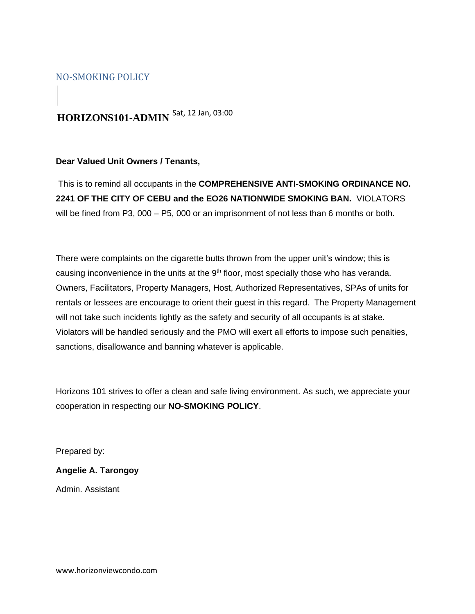### NO-SMOKING POLICY

## **HORIZONS101-ADMIN**  Sat, 12 Jan, 03:00

#### **Dear Valued Unit Owners / Tenants,**

This is to remind all occupants in the **COMPREHENSIVE ANTI-SMOKING ORDINANCE NO. 2241 OF THE CITY OF CEBU and the EO26 NATIONWIDE SMOKING BAN.** VIOLATORS will be fined from P3, 000 – P5, 000 or an imprisonment of not less than 6 months or both.

There were complaints on the cigarette butts thrown from the upper unit's window; this is causing inconvenience in the units at the 9<sup>th</sup> floor, most specially those who has veranda. Owners, Facilitators, Property Managers, Host, Authorized Representatives, SPAs of units for rentals or lessees are encourage to orient their guest in this regard. The Property Management will not take such incidents lightly as the safety and security of all occupants is at stake. Violators will be handled seriously and the PMO will exert all efforts to impose such penalties, sanctions, disallowance and banning whatever is applicable.

Horizons 101 strives to offer a clean and safe living environment. As such, we appreciate your cooperation in respecting our **NO-SMOKING POLICY**.

Prepared by:

#### **Angelie A. Tarongoy**

Admin. Assistant

www.horizonviewcondo.com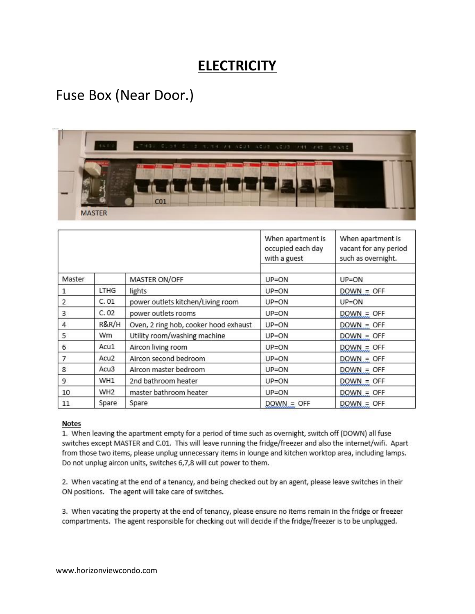## **ELECTRICITY**

## Fuse Box (Near Door.)



|                |                  |                                       | When apartment is<br>occupied each day<br>with a guest | When apartment is<br>vacant for any period<br>such as overnight. |
|----------------|------------------|---------------------------------------|--------------------------------------------------------|------------------------------------------------------------------|
| Master         |                  | MASTER ON/OFF                         | $UP=ON$                                                | $UP=ON$                                                          |
| 1              | LTHG             | lights                                | $UP=ON$                                                | $DOWN = OFF$                                                     |
| $\overline{2}$ | C.01             | power outlets kitchen/Living room     | UP=ON                                                  | $UP=ON$                                                          |
| 3              | C.02             | power outlets rooms                   | $UP=ON$                                                | $DOWN = OFF$                                                     |
| $\sqrt{4}$     | R&R/H            | Oven, 2 ring hob, cooker hood exhaust | $UP=ON$                                                | $DOWN = OFF$                                                     |
| 5              | Wm               | Utility room/washing machine          | $UP=ON$                                                | $DOWN = OFF$                                                     |
| 6              | Acu1             | Aircon living room                    | $UP=ON$                                                | $DOWN = OFF$                                                     |
| 7              | Acu <sub>2</sub> | Aircon second bedroom                 | $UP = ON$                                              | $DOWN = OFF$                                                     |
| 8              | Acu3             | Aircon master bedroom                 | UP=ON                                                  | $DOWN = OFF$                                                     |
| 9              | WH1              | 2nd bathroom heater                   | UP=ON                                                  | $DOWN = OFF$                                                     |
| 10             | WH <sub>2</sub>  | master bathroom heater                | $UP=ON$                                                | $DOWN = OFF$                                                     |
| 11             | Spare            | Spare                                 | $DOWN = OFF$                                           | $DOWN = OFF$                                                     |

#### **Notes**

1. When leaving the apartment empty for a period of time such as overnight, switch off (DOWN) all fuse switches except MASTER and C.01. This will leave running the fridge/freezer and also the internet/wifi. Apart from those two items, please unplug unnecessary items in lounge and kitchen worktop area, including lamps. Do not unplug aircon units, switches 6,7,8 will cut power to them.

2. When vacating at the end of a tenancy, and being checked out by an agent, please leave switches in their ON positions. The agent will take care of switches.

3. When vacating the property at the end of tenancy, please ensure no items remain in the fridge or freezer compartments. The agent responsible for checking out will decide if the fridge/freezer is to be unplugged.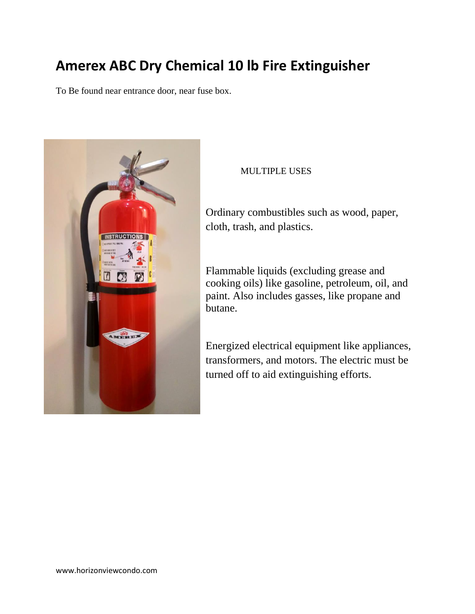## **Amerex ABC Dry Chemical 10 lb Fire Extinguisher**

To Be found near entrance door, near fuse box.



### MULTIPLE USES

Ordinary combustibles such as wood, paper, cloth, trash, and plastics.

Flammable liquids (excluding grease and cooking oils) like gasoline, petroleum, oil, and paint. Also includes gasses, like propane and butane.

Energized electrical equipment like appliances, transformers, and motors. The electric must be turned off to aid extinguishing efforts.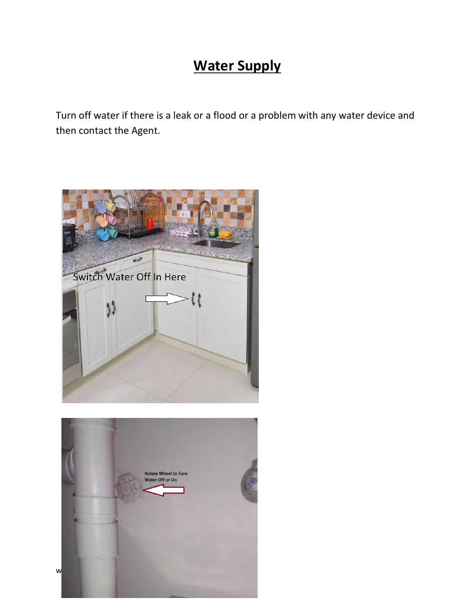## **Water Supply**

Turn off water if there is a leak or a flood or a problem with any water device and then contact the Agent.

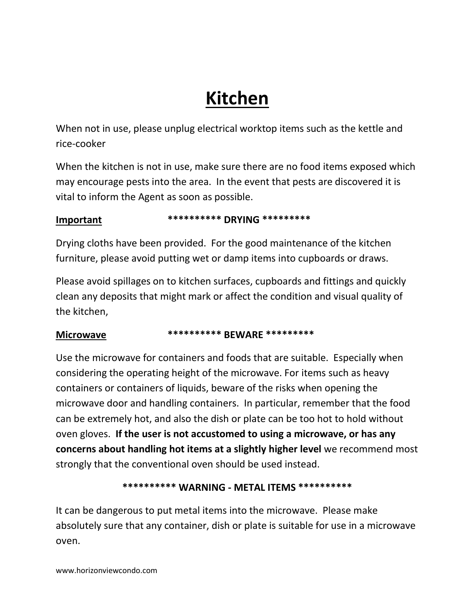## **Kitchen**

When not in use, please unplug electrical worktop items such as the kettle and rice-cooker

When the kitchen is not in use, make sure there are no food items exposed which may encourage pests into the area. In the event that pests are discovered it is vital to inform the Agent as soon as possible.

### **Important \*\*\*\*\*\*\*\*\*\* DRYING \*\*\*\*\*\*\*\*\***

Drying cloths have been provided. For the good maintenance of the kitchen furniture, please avoid putting wet or damp items into cupboards or draws.

Please avoid spillages on to kitchen surfaces, cupboards and fittings and quickly clean any deposits that might mark or affect the condition and visual quality of the kitchen,

### **Microwave \*\*\*\*\*\*\*\*\*\* BEWARE \*\*\*\*\*\*\*\*\***

Use the microwave for containers and foods that are suitable. Especially when considering the operating height of the microwave. For items such as heavy containers or containers of liquids, beware of the risks when opening the microwave door and handling containers. In particular, remember that the food can be extremely hot, and also the dish or plate can be too hot to hold without oven gloves. **If the user is not accustomed to using a microwave, or has any concerns about handling hot items at a slightly higher level** we recommend most strongly that the conventional oven should be used instead.

### **\*\*\*\*\*\*\*\*\*\* WARNING - METAL ITEMS \*\*\*\*\*\*\*\*\*\***

It can be dangerous to put metal items into the microwave. Please make absolutely sure that any container, dish or plate is suitable for use in a microwave oven.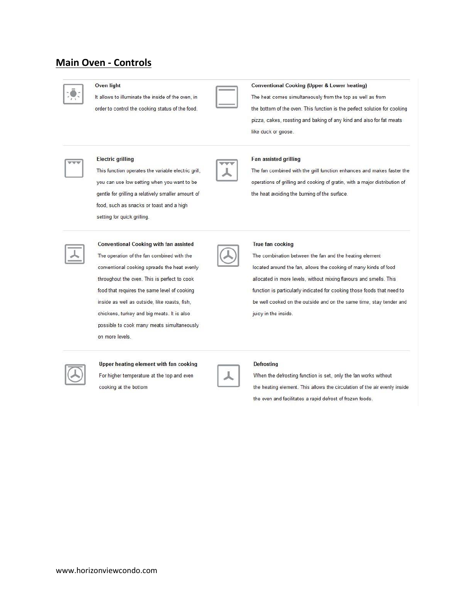### **Main Oven - Controls**



#### Oven light

**Electric grilling** 

It allows to illuminate the inside of the oven, in order to control the cooking status of the food.



#### **Conventional Cooking (Upper & Lower heating)**

The heat comes simultaneously from the top as well as from the bottom of the oven. This function is the perfect solution for cooking pizza, cakes, roasting and baking of any kind and also for fat meats like duck or goose.



The fan combined with the grill function enhances and makes faster the operations of grilling and cooking of gratin, with a major distribution of the heat avoiding the burning of the surface.

|  | 4 |  |
|--|---|--|
|  |   |  |
|  |   |  |
|  |   |  |

#### food, such as snacks or toast and a high

This function operates the variable electric grill,

you can use low setting when you want to be

gentle for grilling a relatively smaller amount of

setting for quick grilling. **Conventional Cooking with fan assisted** The operation of the fan combined with the

conventional cooking spreads the heat evenly

throughout the oven. This is perfect to cook

food that requires the same level of cooking

inside as well as outside, like roasts, fish,

chickens, turkey and big meats. It is also

possible to cook many meats simultaneously

|  | I |  |
|--|---|--|
|  |   |  |
|  |   |  |

#### True fan cooking

The combination between the fan and the heating element located around the fan, allows the cooking of many kinds of food allocated in more levels, without mixing flavours and smells. This function is particularly indicated for cooking those foods that need to be well cooked on the outside and on the same time, stay tender and juicy in the inside.



#### Upper heating element with fan cooking

For higher temperature at the top and even cooking at the bottom

on more levels.

| ł |         |  |
|---|---------|--|
|   | Y.<br>ï |  |
|   |         |  |
|   |         |  |
|   |         |  |

#### Defrosting

When the defrosting function is set, only the fan works without the heating element. This allows the circulation of the air evenly inside the oven and facilitates a rapid defrost of frozen foods.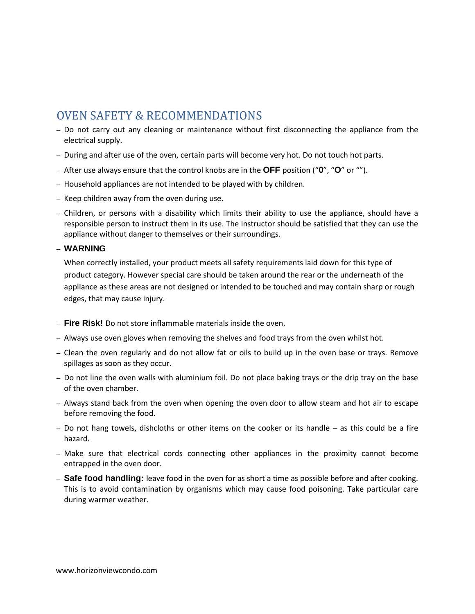## OVEN SAFETY & RECOMMENDATIONS

- Do not carry out any cleaning or maintenance without first disconnecting the appliance from the electrical supply.
- During and after use of the oven, certain parts will become very hot. Do not touch hot parts.
- After use always ensure that the control knobs are in the **OFF** position ("**0**", "**O**" or "").
- Household appliances are not intended to be played with by children.
- Keep children away from the oven during use.
- Children, or persons with a disability which limits their ability to use the appliance, should have a responsible person to instruct them in its use. The instructor should be satisfied that they can use the appliance without danger to themselves or their surroundings.

#### – **WARNING**

When correctly installed, your product meets all safety requirements laid down for this type of product category. However special care should be taken around the rear or the underneath of the appliance as these areas are not designed or intended to be touched and may contain sharp or rough edges, that may cause injury.

- **Fire Risk!** Do not store inflammable materials inside the oven.
- Always use oven gloves when removing the shelves and food trays from the oven whilst hot.
- Clean the oven regularly and do not allow fat or oils to build up in the oven base or trays. Remove spillages as soon as they occur.
- Do not line the oven walls with aluminium foil. Do not place baking trays or the drip tray on the base of the oven chamber.
- Always stand back from the oven when opening the oven door to allow steam and hot air to escape before removing the food.
- Do not hang towels, dishcloths or other items on the cooker or its handle as this could be a fire hazard.
- Make sure that electrical cords connecting other appliances in the proximity cannot become entrapped in the oven door.
- **Safe food handling:** leave food in the oven for as short a time as possible before and after cooking. This is to avoid contamination by organisms which may cause food poisoning. Take particular care during warmer weather.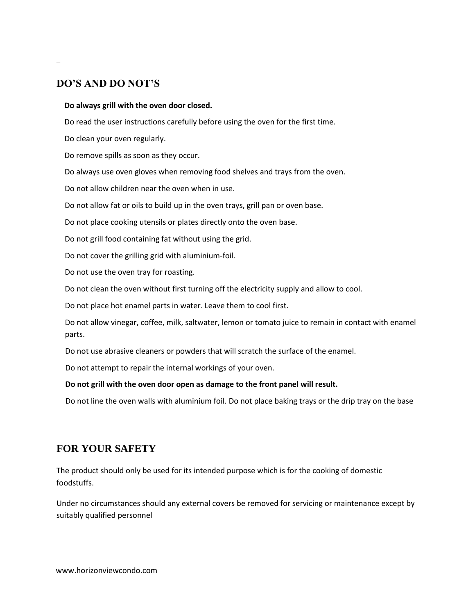### **DO'S AND DO NOT'S**

–

#### **Do always grill with the oven door closed.**

Do read the user instructions carefully before using the oven for the first time.

Do clean your oven regularly.

Do remove spills as soon as they occur.

Do always use oven gloves when removing food shelves and trays from the oven.

Do not allow children near the oven when in use.

Do not allow fat or oils to build up in the oven trays, grill pan or oven base.

Do not place cooking utensils or plates directly onto the oven base.

Do not grill food containing fat without using the grid.

Do not cover the grilling grid with aluminium-foil.

Do not use the oven tray for roasting.

Do not clean the oven without first turning off the electricity supply and allow to cool.

Do not place hot enamel parts in water. Leave them to cool first.

Do not allow vinegar, coffee, milk, saltwater, lemon or tomato juice to remain in contact with enamel parts.

Do not use abrasive cleaners or powders that will scratch the surface of the enamel.

Do not attempt to repair the internal workings of your oven.

#### **Do not grill with the oven door open as damage to the front panel will result.**

Do not line the oven walls with aluminium foil. Do not place baking trays or the drip tray on the base

### **FOR YOUR SAFETY**

The product should only be used for its intended purpose which is for the cooking of domestic foodstuffs.

Under no circumstances should any external covers be removed for servicing or maintenance except by suitably qualified personnel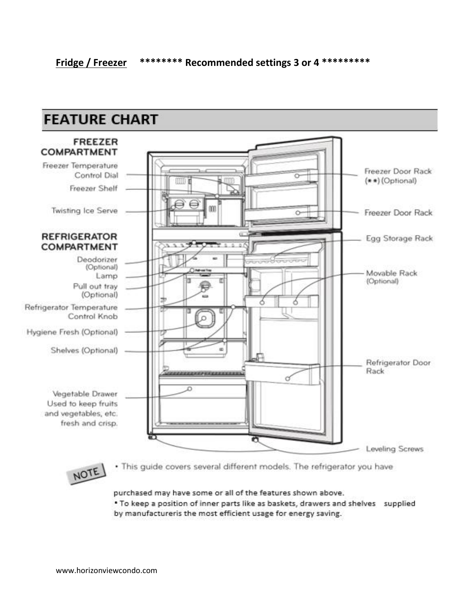

purchased may have some or all of the features shown above.

. To keep a position of inner parts like as baskets, drawers and shelves supplied by manufactureris the most efficient usage for energy saving.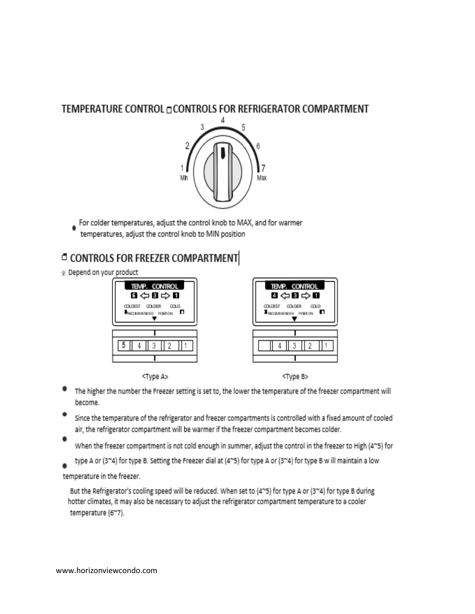### TEMPERATURE CONTROL OCONTROLS FOR REFRIGERATOR COMPARTMENT



For colder temperatures, adjust the control knob to MAX, and for warmer temperatures, adjust the control knob to MIN position

## **CONTROLS FOR FREEZER COMPARTMENT**

Repend on your product



<Type A>



<Type B>

- The higher the number the Freezer setting is set to, the lower the temperature of the freezer compartment will become.
- Since the temperature of the refrigerator and freezer compartments is controlled with a fixed amount of cooled air, the refrigerator compartment will be warmer if the freezer compartment becomes colder.
- When the freezer compartment is not cold enough in summer, adjust the control in the freezer to High (4~5) for
- type A or (3"4) for type B. Setting the Freezer dial at (4"5) for type A or (3"4) for type B w ill maintain a low

temperature in the freezer.

But the Refrigerator's cooling speed will be reduced. When set to (4~5) for type A or (3~4) for type B during hotter climates, it may also be necessary to adjust the refrigerator compartment temperature to a cooler temperature (6~7).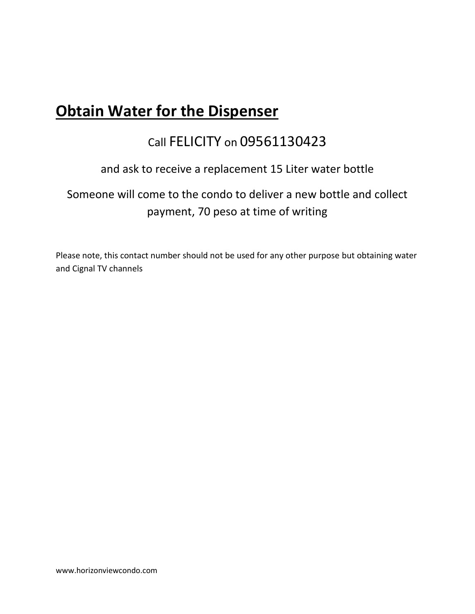## **Obtain Water for the Dispenser**

## Call FELICITY on 09561130423

### and ask to receive a replacement 15 Liter water bottle

## Someone will come to the condo to deliver a new bottle and collect payment, 70 peso at time of writing

Please note, this contact number should not be used for any other purpose but obtaining water and Cignal TV channels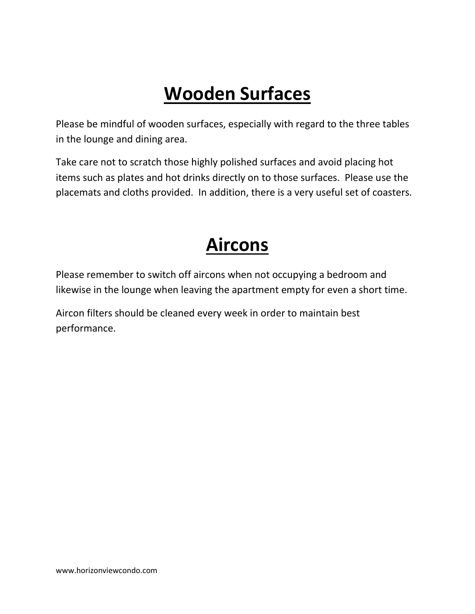## **Wooden Surfaces**

Please be mindful of wooden surfaces, especially with regard to the three tables in the lounge and dining area.

Take care not to scratch those highly polished surfaces and avoid placing hot items such as plates and hot drinks directly on to those surfaces. Please use the placemats and cloths provided. In addition, there is a very useful set of coasters.

## **Aircons**

Please remember to switch off aircons when not occupying a bedroom and likewise in the lounge when leaving the apartment empty for even a short time.

Aircon filters should be cleaned every week in order to maintain best performance.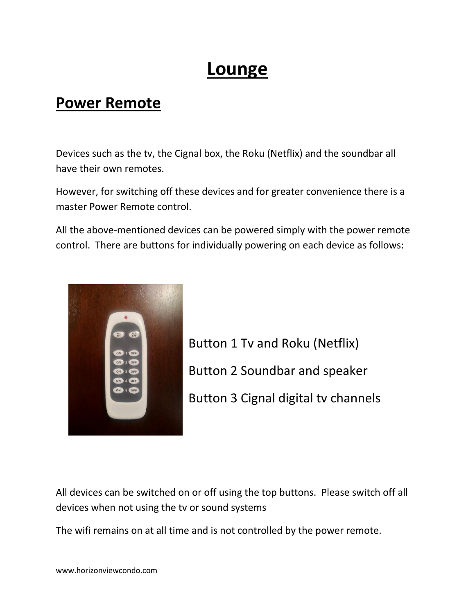## **Lounge**

## **Power Remote**

Devices such as the tv, the Cignal box, the Roku (Netflix) and the soundbar all have their own remotes.

However, for switching off these devices and for greater convenience there is a master Power Remote control.

All the above-mentioned devices can be powered simply with the power remote control. There are buttons for individually powering on each device as follows:



Button 1 Tv and Roku (Netflix) Button 2 Soundbar and speaker Button 3 Cignal digital tv channels

All devices can be switched on or off using the top buttons. Please switch off all devices when not using the tv or sound systems

The wifi remains on at all time and is not controlled by the power remote.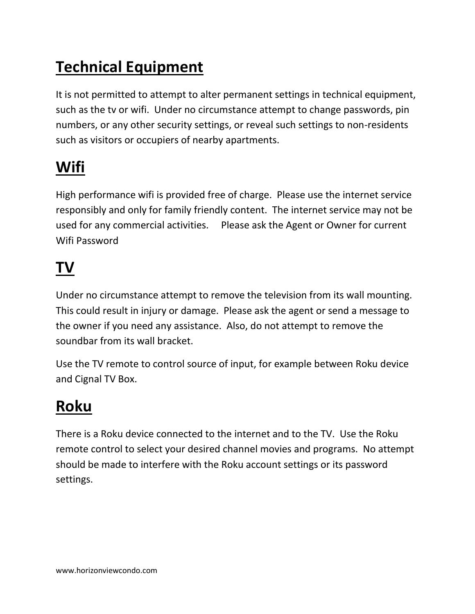## **Technical Equipment**

It is not permitted to attempt to alter permanent settings in technical equipment, such as the tv or wifi. Under no circumstance attempt to change passwords, pin numbers, or any other security settings, or reveal such settings to non-residents such as visitors or occupiers of nearby apartments.

## **Wifi**

High performance wifi is provided free of charge. Please use the internet service responsibly and only for family friendly content. The internet service may not be used for any commercial activities. Please ask the Agent or Owner for current Wifi Password

## **TV**

Under no circumstance attempt to remove the television from its wall mounting. This could result in injury or damage. Please ask the agent or send a message to the owner if you need any assistance. Also, do not attempt to remove the soundbar from its wall bracket.

Use the TV remote to control source of input, for example between Roku device and Cignal TV Box.

## **Roku**

There is a Roku device connected to the internet and to the TV. Use the Roku remote control to select your desired channel movies and programs. No attempt should be made to interfere with the Roku account settings or its password settings.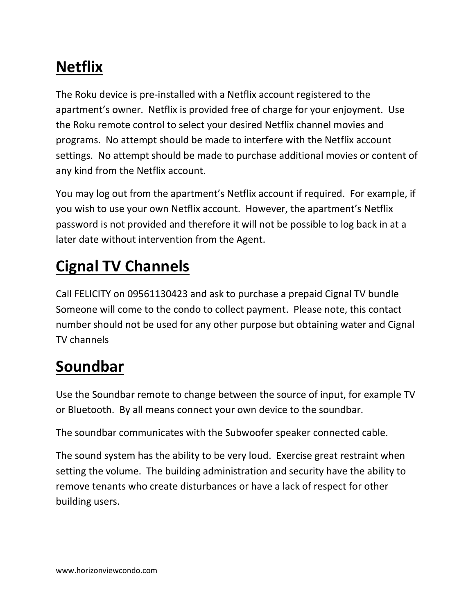## **Netflix**

The Roku device is pre-installed with a Netflix account registered to the apartment's owner. Netflix is provided free of charge for your enjoyment. Use the Roku remote control to select your desired Netflix channel movies and programs. No attempt should be made to interfere with the Netflix account settings. No attempt should be made to purchase additional movies or content of any kind from the Netflix account.

You may log out from the apartment's Netflix account if required. For example, if you wish to use your own Netflix account. However, the apartment's Netflix password is not provided and therefore it will not be possible to log back in at a later date without intervention from the Agent.

## **Cignal TV Channels**

Call FELICITY on 09561130423 and ask to purchase a prepaid Cignal TV bundle Someone will come to the condo to collect payment. Please note, this contact number should not be used for any other purpose but obtaining water and Cignal TV channels

## **Soundbar**

Use the Soundbar remote to change between the source of input, for example TV or Bluetooth. By all means connect your own device to the soundbar.

The soundbar communicates with the Subwoofer speaker connected cable.

The sound system has the ability to be very loud. Exercise great restraint when setting the volume. The building administration and security have the ability to remove tenants who create disturbances or have a lack of respect for other building users.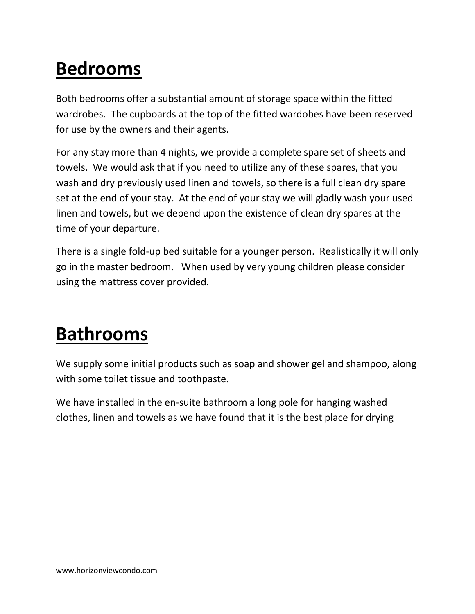## **Bedrooms**

Both bedrooms offer a substantial amount of storage space within the fitted wardrobes. The cupboards at the top of the fitted wardobes have been reserved for use by the owners and their agents.

For any stay more than 4 nights, we provide a complete spare set of sheets and towels. We would ask that if you need to utilize any of these spares, that you wash and dry previously used linen and towels, so there is a full clean dry spare set at the end of your stay. At the end of your stay we will gladly wash your used linen and towels, but we depend upon the existence of clean dry spares at the time of your departure.

There is a single fold-up bed suitable for a younger person. Realistically it will only go in the master bedroom. When used by very young children please consider using the mattress cover provided.

## **Bathrooms**

We supply some initial products such as soap and shower gel and shampoo, along with some toilet tissue and toothpaste.

We have installed in the en-suite bathroom a long pole for hanging washed clothes, linen and towels as we have found that it is the best place for drying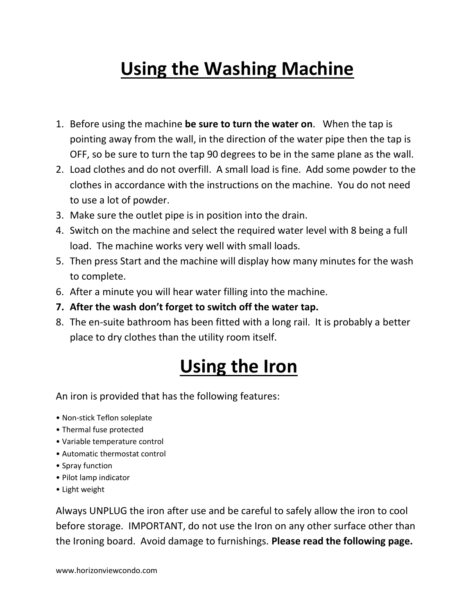## **Using the Washing Machine**

- 1. Before using the machine **be sure to turn the water on**. When the tap is pointing away from the wall, in the direction of the water pipe then the tap is OFF, so be sure to turn the tap 90 degrees to be in the same plane as the wall.
- 2. Load clothes and do not overfill. A small load is fine. Add some powder to the clothes in accordance with the instructions on the machine. You do not need to use a lot of powder.
- 3. Make sure the outlet pipe is in position into the drain.
- 4. Switch on the machine and select the required water level with 8 being a full load. The machine works very well with small loads.
- 5. Then press Start and the machine will display how many minutes for the wash to complete.
- 6. After a minute you will hear water filling into the machine.
- **7. After the wash don't forget to switch off the water tap.**
- 8. The en-suite bathroom has been fitted with a long rail. It is probably a better place to dry clothes than the utility room itself.

## **Using the Iron**

An iron is provided that has the following features:

- Non-stick Teflon soleplate
- Thermal fuse protected
- Variable temperature control
- Automatic thermostat control
- Spray function
- Pilot lamp indicator
- Light weight

Always UNPLUG the iron after use and be careful to safely allow the iron to cool before storage. IMPORTANT, do not use the Iron on any other surface other than the Ironing board. Avoid damage to furnishings. **Please read the following page.**